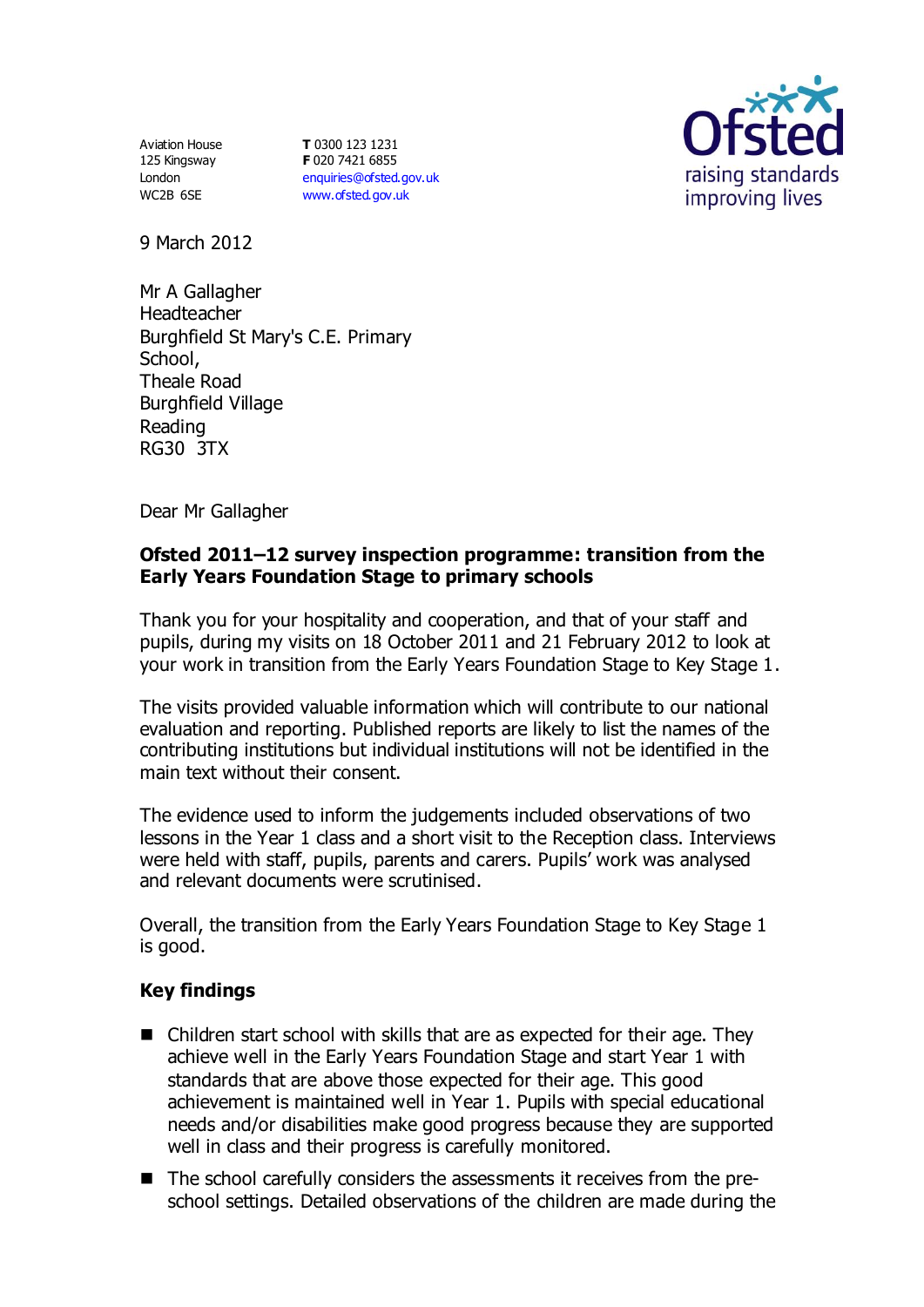Aviation House 125 Kingsway London WC2B 6SE

**T** 0300 123 1231 **F** 020 7421 6855 [enquiries@ofsted.gov.uk](mailto:enquiries@ofsted.gov.uk) [www.ofsted.gov.uk](http://www.ofsted.gov.uk/)



9 March 2012

Mr A Gallagher Headteacher Burghfield St Mary's C.E. Primary School, Theale Road Burghfield Village Reading RG30 3TX

Dear Mr Gallagher

## **Ofsted 2011–12 survey inspection programme: transition from the Early Years Foundation Stage to primary schools**

Thank you for your hospitality and cooperation, and that of your staff and pupils, during my visits on 18 October 2011 and 21 February 2012 to look at your work in transition from the Early Years Foundation Stage to Key Stage 1.

The visits provided valuable information which will contribute to our national evaluation and reporting. Published reports are likely to list the names of the contributing institutions but individual institutions will not be identified in the main text without their consent.

The evidence used to inform the judgements included observations of two lessons in the Year 1 class and a short visit to the Reception class. Interviews were held with staff, pupils, parents and carers. Pupils' work was analysed and relevant documents were scrutinised.

Overall, the transition from the Early Years Foundation Stage to Key Stage 1 is good.

## **Key findings**

- Children start school with skills that are as expected for their age. They achieve well in the Early Years Foundation Stage and start Year 1 with standards that are above those expected for their age. This good achievement is maintained well in Year 1. Pupils with special educational needs and/or disabilities make good progress because they are supported well in class and their progress is carefully monitored.
- The school carefully considers the assessments it receives from the preschool settings. Detailed observations of the children are made during the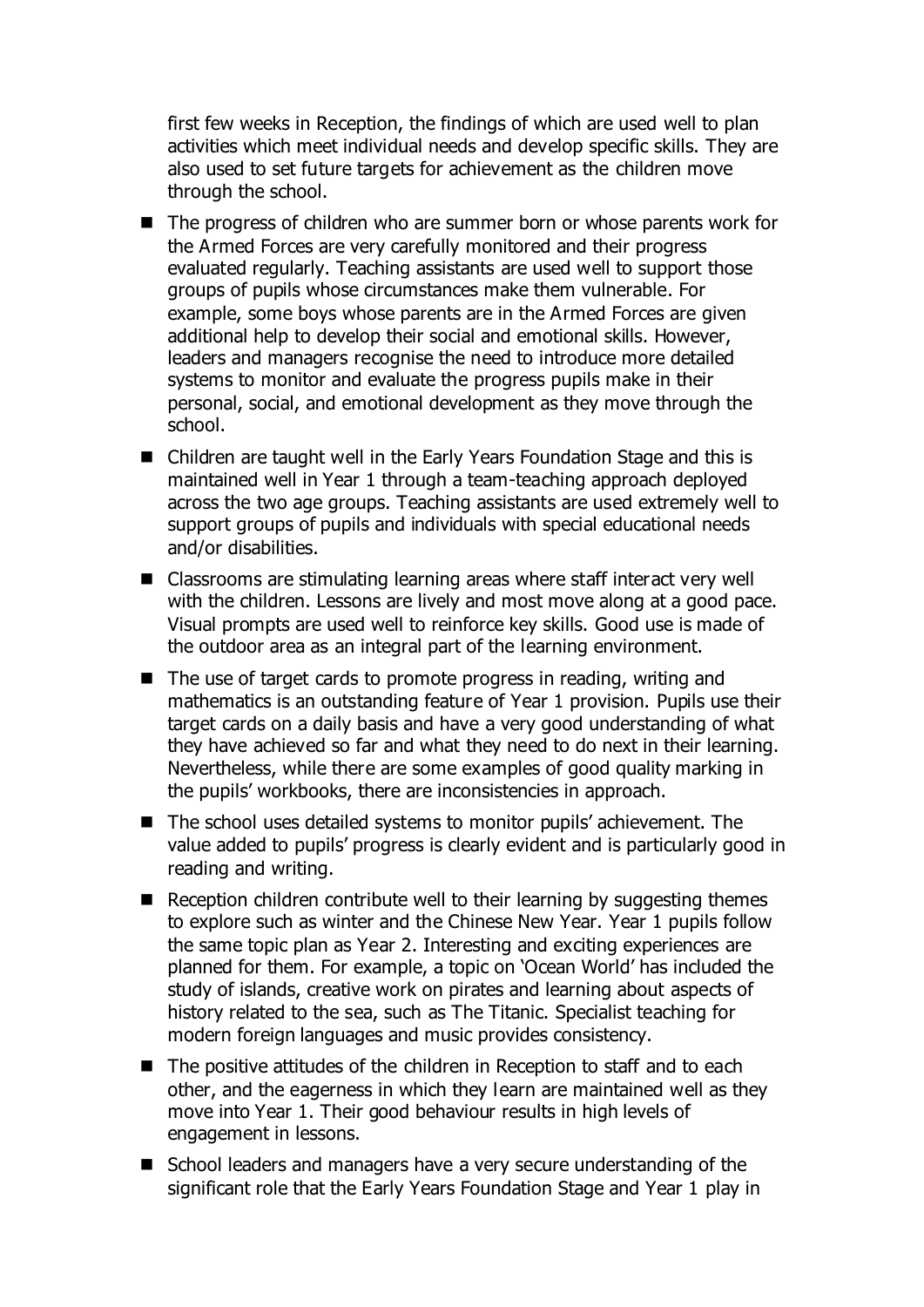first few weeks in Reception, the findings of which are used well to plan activities which meet individual needs and develop specific skills. They are also used to set future targets for achievement as the children move through the school.

- The progress of children who are summer born or whose parents work for the Armed Forces are very carefully monitored and their progress evaluated regularly. Teaching assistants are used well to support those groups of pupils whose circumstances make them vulnerable. For example, some boys whose parents are in the Armed Forces are given additional help to develop their social and emotional skills. However, leaders and managers recognise the need to introduce more detailed systems to monitor and evaluate the progress pupils make in their personal, social, and emotional development as they move through the school.
- Children are taught well in the Early Years Foundation Stage and this is maintained well in Year 1 through a team-teaching approach deployed across the two age groups. Teaching assistants are used extremely well to support groups of pupils and individuals with special educational needs and/or disabilities.
- Classrooms are stimulating learning areas where staff interact very well with the children. Lessons are lively and most move along at a good pace. Visual prompts are used well to reinforce key skills. Good use is made of the outdoor area as an integral part of the learning environment.
- $\blacksquare$  The use of target cards to promote progress in reading, writing and mathematics is an outstanding feature of Year 1 provision. Pupils use their target cards on a daily basis and have a very good understanding of what they have achieved so far and what they need to do next in their learning. Nevertheless, while there are some examples of good quality marking in the pupils' workbooks, there are inconsistencies in approach.
- The school uses detailed systems to monitor pupils' achievement. The value added to pupils' progress is clearly evident and is particularly good in reading and writing.
- Reception children contribute well to their learning by suggesting themes to explore such as winter and the Chinese New Year. Year 1 pupils follow the same topic plan as Year 2. Interesting and exciting experiences are planned for them. For example, a topic on 'Ocean World' has included the study of islands, creative work on pirates and learning about aspects of history related to the sea, such as The Titanic. Specialist teaching for modern foreign languages and music provides consistency.
- $\blacksquare$  The positive attitudes of the children in Reception to staff and to each other, and the eagerness in which they learn are maintained well as they move into Year 1. Their good behaviour results in high levels of engagement in lessons.
- School leaders and managers have a very secure understanding of the significant role that the Early Years Foundation Stage and Year 1 play in